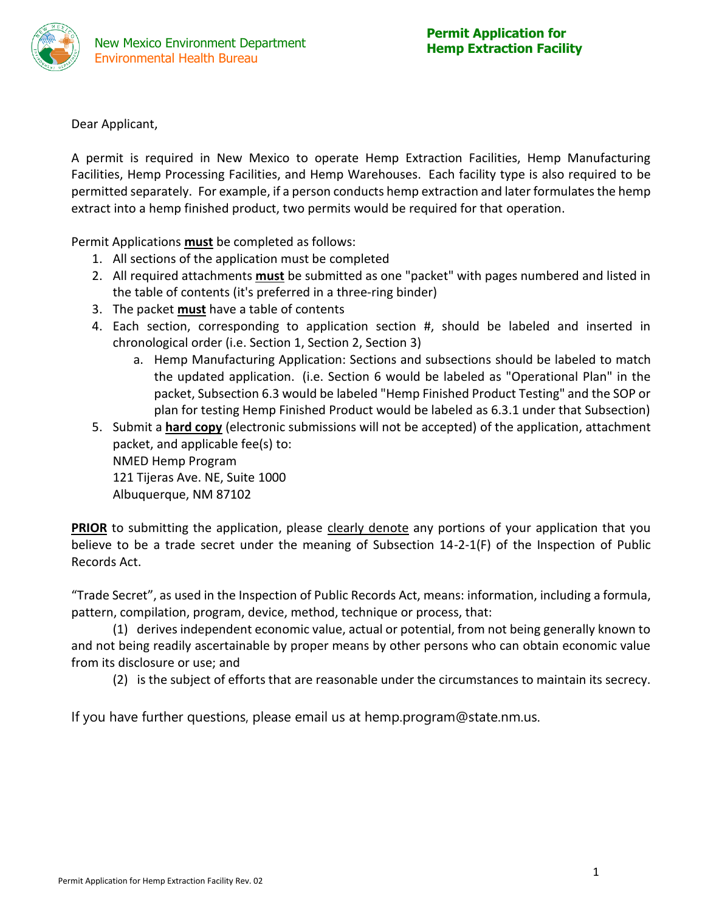

Dear Applicant,

A permit is required in New Mexico to operate Hemp Extraction Facilities, Hemp Manufacturing Facilities, Hemp Processing Facilities, and Hemp Warehouses. Each facility type is also required to be permitted separately. For example, if a person conducts hemp extraction and later formulates the hemp extract into a hemp finished product, two permits would be required for that operation.

Permit Applications **must** be completed as follows:

- 1. All sections of the application must be completed
- 2. All required attachments **must** be submitted as one "packet" with pages numbered and listed in the table of contents (it's preferred in a three-ring binder)
- 3. The packet **must** have a table of contents
- 4. Each section, corresponding to application section #, should be labeled and inserted in chronological order (i.e. Section 1, Section 2, Section 3)
	- a. Hemp Manufacturing Application: Sections and subsections should be labeled to match the updated application. (i.e. Section 6 would be labeled as "Operational Plan" in the packet, Subsection 6.3 would be labeled "Hemp Finished Product Testing" and the SOP or plan for testing Hemp Finished Product would be labeled as 6.3.1 under that Subsection)
- 5. Submit a **hard copy** (electronic submissions will not be accepted) of the application, attachment packet, and applicable fee(s) to: NMED Hemp Program 121 Tijeras Ave. NE, Suite 1000 Albuquerque, NM 87102

**PRIOR** to submitting the application, please clearly denote any portions of your application that you believe to be a trade secret under the meaning of Subsection 14-2-1(F) of the Inspection of Public Records Act.

"Trade Secret", as used in the Inspection of Public Records Act, means: information, including a formula, pattern, compilation, program, device, method, technique or process, that:

(1) derives independent economic value, actual or potential, from not being generally known to and not being readily ascertainable by proper means by other persons who can obtain economic value from its disclosure or use; and

(2) is the subject of efforts that are reasonable under the circumstances to maintain its secrecy.

If you have further questions, please email us at hemp.program@state.nm.us.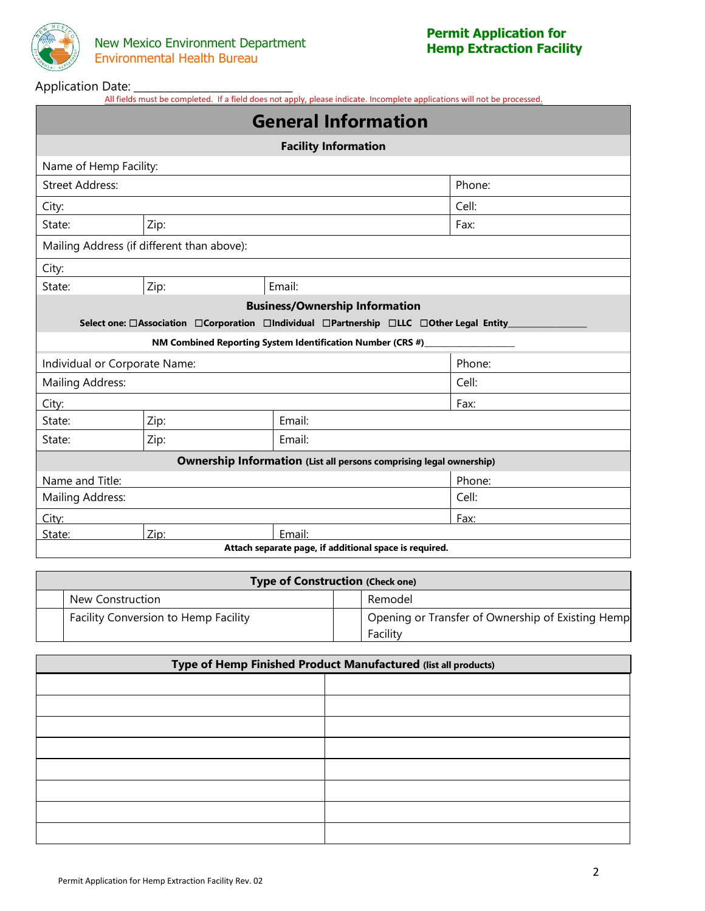

## Application Date: **\_\_\_\_\_\_\_\_\_\_\_\_\_\_\_\_\_\_\_\_\_\_\_\_**

All fields must be completed. If a field does not apply, please indicate. Incomplete applications will not be processed.

| <b>General Information</b>                             |                                            |                                                                                         |        |  |  |  |  |  |
|--------------------------------------------------------|--------------------------------------------|-----------------------------------------------------------------------------------------|--------|--|--|--|--|--|
|                                                        | <b>Facility Information</b>                |                                                                                         |        |  |  |  |  |  |
|                                                        | Name of Hemp Facility:                     |                                                                                         |        |  |  |  |  |  |
| <b>Street Address:</b><br>Phone:                       |                                            |                                                                                         |        |  |  |  |  |  |
| City:                                                  |                                            | Cell:                                                                                   |        |  |  |  |  |  |
| State:                                                 | Zip:                                       |                                                                                         | Fax:   |  |  |  |  |  |
|                                                        | Mailing Address (if different than above): |                                                                                         |        |  |  |  |  |  |
| City:                                                  |                                            |                                                                                         |        |  |  |  |  |  |
| Zip:<br>Email:<br>State:                               |                                            |                                                                                         |        |  |  |  |  |  |
|                                                        |                                            | <b>Business/Ownership Information</b>                                                   |        |  |  |  |  |  |
|                                                        |                                            | Select one: □Association □Corporation □Individual □Partnership □LLC □Other Legal Entity |        |  |  |  |  |  |
|                                                        |                                            | NM Combined Reporting System Identification Number (CRS #)                              |        |  |  |  |  |  |
| Individual or Corporate Name:                          |                                            |                                                                                         | Phone: |  |  |  |  |  |
| <b>Mailing Address:</b>                                |                                            |                                                                                         | Cell:  |  |  |  |  |  |
| City:                                                  |                                            |                                                                                         | Fax:   |  |  |  |  |  |
| State:                                                 | Zip:                                       | Email:                                                                                  |        |  |  |  |  |  |
| State:                                                 | Zip:                                       | Email:                                                                                  |        |  |  |  |  |  |
|                                                        |                                            | <b>Ownership Information (List all persons comprising legal ownership)</b>              |        |  |  |  |  |  |
| Name and Title:                                        |                                            |                                                                                         | Phone: |  |  |  |  |  |
| Mailing Address:                                       |                                            |                                                                                         | Cell:  |  |  |  |  |  |
| City:                                                  |                                            |                                                                                         | Fax:   |  |  |  |  |  |
| State:                                                 | Zip:                                       | Email:                                                                                  |        |  |  |  |  |  |
| Attach separate page, if additional space is required. |                                            |                                                                                         |        |  |  |  |  |  |

| <b>Type of Construction (Check one)</b> |  |                                                               |  |  |  |  |
|-----------------------------------------|--|---------------------------------------------------------------|--|--|--|--|
| New Construction                        |  | Remodel                                                       |  |  |  |  |
| Facility Conversion to Hemp Facility    |  | Opening or Transfer of Ownership of Existing Hemp<br>Facility |  |  |  |  |

| Type of Hemp Finished Product Manufactured (list all products) |  |  |  |  |
|----------------------------------------------------------------|--|--|--|--|
|                                                                |  |  |  |  |
|                                                                |  |  |  |  |
|                                                                |  |  |  |  |
|                                                                |  |  |  |  |
|                                                                |  |  |  |  |
|                                                                |  |  |  |  |
|                                                                |  |  |  |  |
|                                                                |  |  |  |  |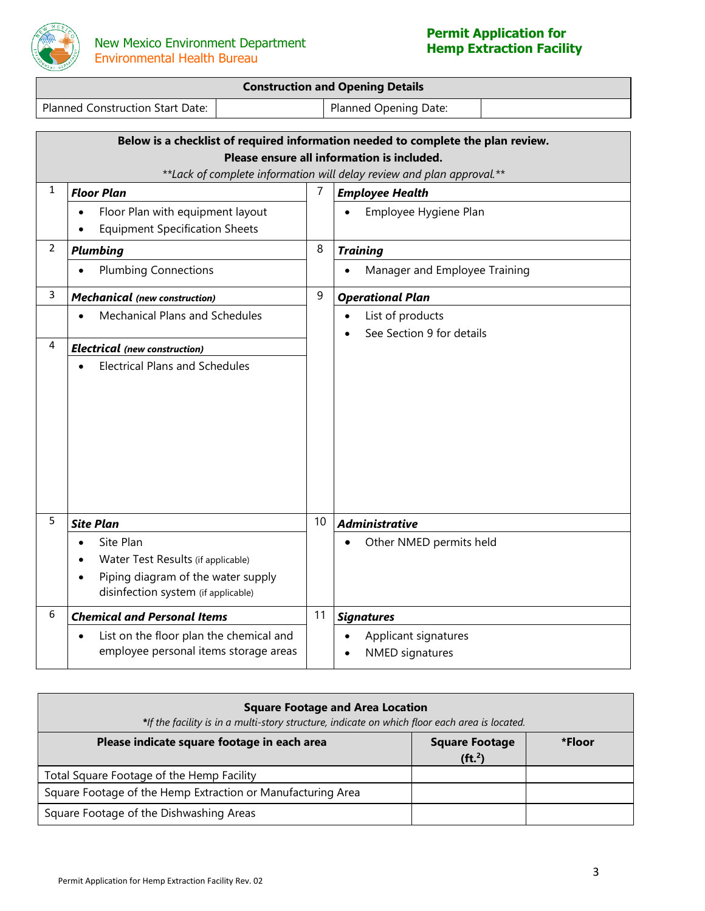

# **Permit Application for**

|              |                                                                                                                                           |    | <b>Construction and Opening Details</b>                                                                                                                                                                  |  |
|--------------|-------------------------------------------------------------------------------------------------------------------------------------------|----|----------------------------------------------------------------------------------------------------------------------------------------------------------------------------------------------------------|--|
|              | <b>Planned Construction Start Date:</b>                                                                                                   |    | Planned Opening Date:                                                                                                                                                                                    |  |
|              |                                                                                                                                           |    |                                                                                                                                                                                                          |  |
|              |                                                                                                                                           |    | Below is a checklist of required information needed to complete the plan review.<br>Please ensure all information is included.<br>** Lack of complete information will delay review and plan approval.** |  |
| $\mathbf{1}$ | <b>Floor Plan</b>                                                                                                                         | 7  | <b>Employee Health</b>                                                                                                                                                                                   |  |
|              | Floor Plan with equipment layout<br><b>Equipment Specification Sheets</b>                                                                 |    | Employee Hygiene Plan                                                                                                                                                                                    |  |
| 2            | <b>Plumbing</b>                                                                                                                           | 8  | <b>Training</b>                                                                                                                                                                                          |  |
|              | <b>Plumbing Connections</b>                                                                                                               |    | Manager and Employee Training<br>$\bullet$                                                                                                                                                               |  |
| 3            | <b>Mechanical</b> (new construction)                                                                                                      | 9  | <b>Operational Plan</b>                                                                                                                                                                                  |  |
|              | Mechanical Plans and Schedules                                                                                                            |    | List of products<br>$\bullet$<br>See Section 9 for details                                                                                                                                               |  |
| 4            | <b>Electrical</b> (new construction)                                                                                                      |    |                                                                                                                                                                                                          |  |
|              | <b>Electrical Plans and Schedules</b>                                                                                                     |    |                                                                                                                                                                                                          |  |
| 5            | <b>Site Plan</b>                                                                                                                          | 10 | <b>Administrative</b>                                                                                                                                                                                    |  |
|              | Site Plan<br>$\bullet$<br>Water Test Results (if applicable)<br>Piping diagram of the water supply<br>disinfection system (if applicable) |    | Other NMED permits held                                                                                                                                                                                  |  |
| 6            | <b>Chemical and Personal Items</b>                                                                                                        | 11 | <b>Signatures</b>                                                                                                                                                                                        |  |
|              | List on the floor plan the chemical and<br>employee personal items storage areas                                                          |    | Applicant signatures<br><b>NMED</b> signatures                                                                                                                                                           |  |

| <b>Square Footage and Area Location</b><br>*If the facility is in a multi-story structure, indicate on which floor each area is located. |                                                     |        |  |  |  |  |
|------------------------------------------------------------------------------------------------------------------------------------------|-----------------------------------------------------|--------|--|--|--|--|
| Please indicate square footage in each area                                                                                              | <b>Square Footage</b><br>( <b>ft</b> <sup>2</sup> ) | *Floor |  |  |  |  |
| Total Square Footage of the Hemp Facility                                                                                                |                                                     |        |  |  |  |  |
| Square Footage of the Hemp Extraction or Manufacturing Area                                                                              |                                                     |        |  |  |  |  |
| Square Footage of the Dishwashing Areas                                                                                                  |                                                     |        |  |  |  |  |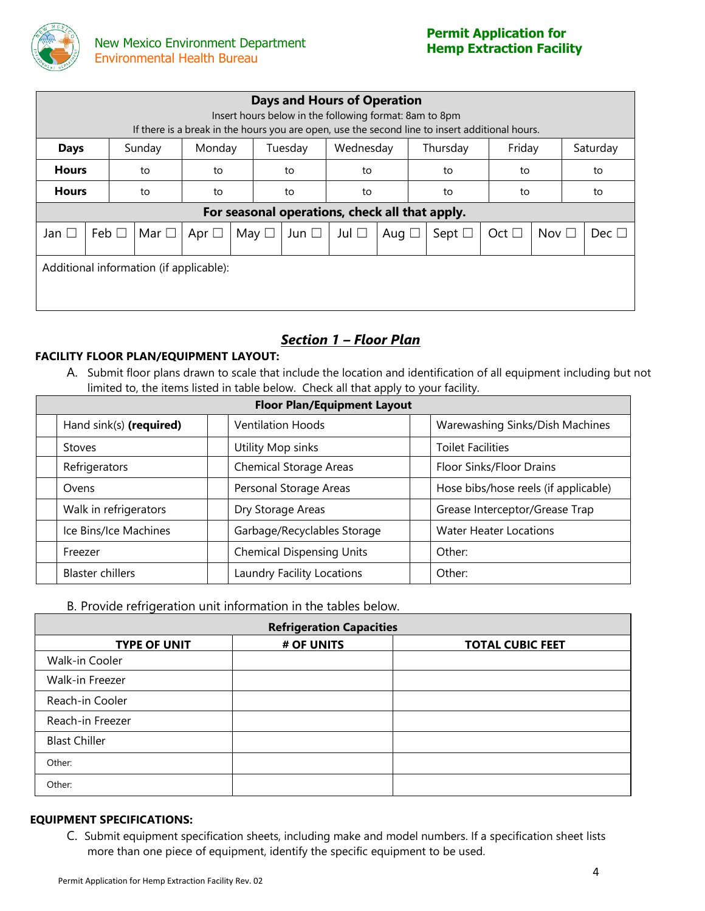

| <b>Days and Hours of Operation</b><br>Insert hours below in the following format: 8am to 8pm<br>If there is a break in the hours you are open, use the second line to insert additional hours. |            |            |               |               |            |               |            |                                                |               |               |  |               |
|------------------------------------------------------------------------------------------------------------------------------------------------------------------------------------------------|------------|------------|---------------|---------------|------------|---------------|------------|------------------------------------------------|---------------|---------------|--|---------------|
| Wednesday<br>Friday<br>Monday<br>Saturday<br>Thursday<br>Sunday<br>Tuesday<br><b>Days</b>                                                                                                      |            |            |               |               |            |               |            |                                                |               |               |  |               |
| <b>Hours</b>                                                                                                                                                                                   |            | to         | to            |               | to         | to<br>to      |            | to                                             |               |               |  | to            |
| <b>Hours</b>                                                                                                                                                                                   |            | to         | to            |               | to         | to            |            | to                                             | to            |               |  | to            |
|                                                                                                                                                                                                |            |            |               |               |            |               |            | For seasonal operations, check all that apply. |               |               |  |               |
| Jan $\square$                                                                                                                                                                                  | Feb $\Box$ | Mar $\Box$ | Apr $\square$ | May $\square$ | Jun $\Box$ | Jul $\square$ | Aug $\Box$ | Sept $\Box$                                    | Oct $\square$ | Nov $\square$ |  | Dec $\square$ |
| Additional information (if applicable):                                                                                                                                                        |            |            |               |               |            |               |            |                                                |               |               |  |               |

# *Section 1 – Floor Plan*

# **FACILITY FLOOR PLAN/EQUIPMENT LAYOUT:**

A. Submit floor plans drawn to scale that include the location and identification of all equipment including but not limited to, the items listed in table below. Check all that apply to your facility.

| <b>Floor Plan/Equipment Layout</b> |                                  |  |                                      |  |  |  |  |
|------------------------------------|----------------------------------|--|--------------------------------------|--|--|--|--|
| Hand sink(s) (required)            | <b>Ventilation Hoods</b>         |  | Warewashing Sinks/Dish Machines      |  |  |  |  |
| <b>Stoves</b>                      | Utility Mop sinks                |  | <b>Toilet Facilities</b>             |  |  |  |  |
| Refrigerators                      | <b>Chemical Storage Areas</b>    |  | Floor Sinks/Floor Drains             |  |  |  |  |
| Ovens                              | Personal Storage Areas           |  | Hose bibs/hose reels (if applicable) |  |  |  |  |
| Walk in refrigerators              | Dry Storage Areas                |  | Grease Interceptor/Grease Trap       |  |  |  |  |
| Ice Bins/Ice Machines              | Garbage/Recyclables Storage      |  | <b>Water Heater Locations</b>        |  |  |  |  |
| Freezer                            | <b>Chemical Dispensing Units</b> |  | Other:                               |  |  |  |  |
| <b>Blaster chillers</b>            | Laundry Facility Locations       |  | Other:                               |  |  |  |  |

# B. Provide refrigeration unit information in the tables below.

| <b>Refrigeration Capacities</b> |            |                         |  |  |  |  |  |
|---------------------------------|------------|-------------------------|--|--|--|--|--|
| <b>TYPE OF UNIT</b>             | # OF UNITS | <b>TOTAL CUBIC FEET</b> |  |  |  |  |  |
| Walk-in Cooler                  |            |                         |  |  |  |  |  |
| Walk-in Freezer                 |            |                         |  |  |  |  |  |
| Reach-in Cooler                 |            |                         |  |  |  |  |  |
| Reach-in Freezer                |            |                         |  |  |  |  |  |
| <b>Blast Chiller</b>            |            |                         |  |  |  |  |  |
| Other:                          |            |                         |  |  |  |  |  |
| Other:                          |            |                         |  |  |  |  |  |

#### **EQUIPMENT SPECIFICATIONS:**

C. Submit equipment specification sheets, including make and model numbers. If a specification sheet lists more than one piece of equipment, identify the specific equipment to be used.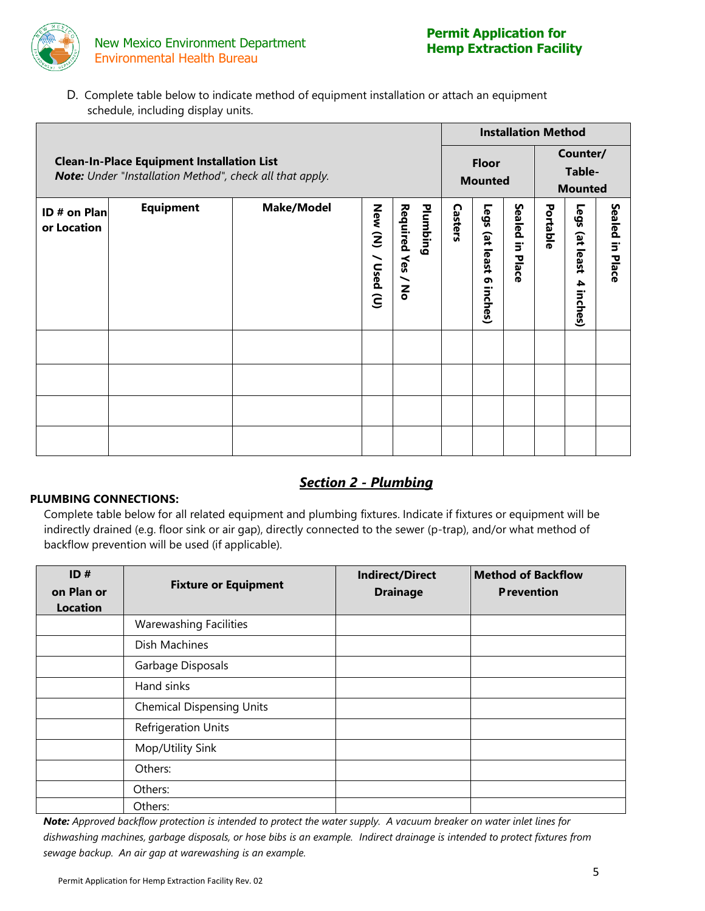

D. Complete table below to indicate method of equipment installation or attach an equipment schedule, including display units.

|                             |                                                                                                               |                   |                       |                               |         | <b>Installation Method</b>          |                                |          |                                   |                                      |  |  |
|-----------------------------|---------------------------------------------------------------------------------------------------------------|-------------------|-----------------------|-------------------------------|---------|-------------------------------------|--------------------------------|----------|-----------------------------------|--------------------------------------|--|--|
|                             | <b>Clean-In-Place Equipment Installation List</b><br>Note: Under "Installation Method", check all that apply. |                   |                       |                               |         |                                     | <b>Floor</b><br><b>Mounted</b> |          |                                   | Counter/<br>Table-<br><b>Mounted</b> |  |  |
| ID # on Plan<br>or Location | <b>Equipment</b>                                                                                              | <b>Make/Model</b> | New (N)<br>/ Used (U) | Required Yes / No<br>Plumbing | Casters | Legs<br>et<br>least<br>G<br>inches) | Sealed<br>Ξ.<br>Place          | Portable | Legs<br>(at least<br>4<br>inches) | <b>Sealed</b><br>in Place            |  |  |
|                             |                                                                                                               |                   |                       |                               |         |                                     |                                |          |                                   |                                      |  |  |
|                             |                                                                                                               |                   |                       |                               |         |                                     |                                |          |                                   |                                      |  |  |
|                             |                                                                                                               |                   |                       |                               |         |                                     |                                |          |                                   |                                      |  |  |
|                             |                                                                                                               |                   |                       |                               |         |                                     |                                |          |                                   |                                      |  |  |

# *Section 2 - Plumbing*

#### **PLUMBING CONNECTIONS:**

Complete table below for all related equipment and plumbing fixtures. Indicate if fixtures or equipment will be indirectly drained (e.g. floor sink or air gap), directly connected to the sewer (p-trap), and/or what method of backflow prevention will be used (if applicable).

| ID#<br>on Plan or<br><b>Location</b> | <b>Fixture or Equipment</b>      | <b>Indirect/Direct</b><br><b>Drainage</b> | <b>Method of Backflow</b><br><b>Prevention</b> |
|--------------------------------------|----------------------------------|-------------------------------------------|------------------------------------------------|
|                                      | <b>Warewashing Facilities</b>    |                                           |                                                |
|                                      | Dish Machines                    |                                           |                                                |
|                                      | Garbage Disposals                |                                           |                                                |
|                                      | Hand sinks                       |                                           |                                                |
|                                      | <b>Chemical Dispensing Units</b> |                                           |                                                |
|                                      | <b>Refrigeration Units</b>       |                                           |                                                |
|                                      | Mop/Utility Sink                 |                                           |                                                |
|                                      | Others:                          |                                           |                                                |
|                                      | Others:                          |                                           |                                                |
|                                      | Others:                          |                                           |                                                |

*Note: Approved backflow protection is intended to protect the water supply. A vacuum breaker on water inlet lines for dishwashing machines, garbage disposals, or hose bibs is an example. Indirect drainage is intended to protect fixtures from sewage backup. An air gap at warewashing is an example.*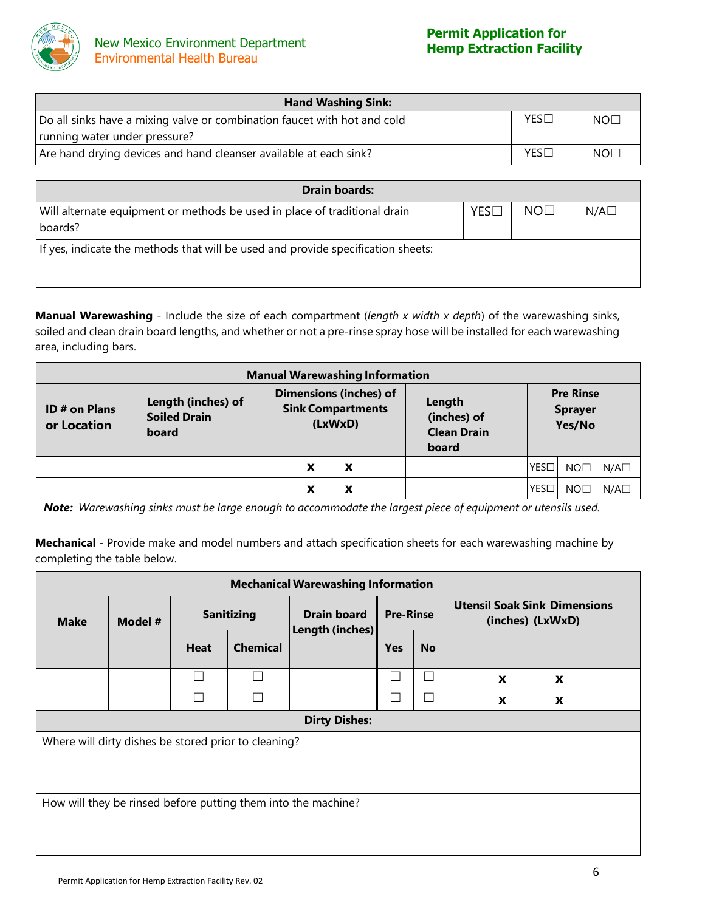

| <b>Hand Washing Sink:</b>                                                |                  |                 |  |  |  |  |
|--------------------------------------------------------------------------|------------------|-----------------|--|--|--|--|
| Do all sinks have a mixing valve or combination faucet with hot and cold | $YES\Box$        | NO <sub>1</sub> |  |  |  |  |
| running water under pressure?                                            |                  |                 |  |  |  |  |
| Are hand drying devices and hand cleanser available at each sink?        | YES <sub>1</sub> | NOT             |  |  |  |  |

| <b>Drain boards:</b>                                                             |     |                 |              |  |  |  |  |
|----------------------------------------------------------------------------------|-----|-----------------|--------------|--|--|--|--|
| Will alternate equipment or methods be used in place of traditional drain        | YES | NO <sub>1</sub> | $N/A\square$ |  |  |  |  |
| boards?                                                                          |     |                 |              |  |  |  |  |
| If yes, indicate the methods that will be used and provide specification sheets: |     |                 |              |  |  |  |  |
|                                                                                  |     |                 |              |  |  |  |  |
|                                                                                  |     |                 |              |  |  |  |  |

**Manual Warewashing** - Include the size of each compartment (*length x width x depth*) of the warewashing sinks, soiled and clean drain board lengths, and whether or not a pre-rinse spray hose will be installed for each warewashing area, including bars.

| <b>Manual Warewashing Information</b> |                                                    |                                                                      |                                                      |                                              |  |
|---------------------------------------|----------------------------------------------------|----------------------------------------------------------------------|------------------------------------------------------|----------------------------------------------|--|
| <b>ID # on Plans</b><br>or Location   | Length (inches) of<br><b>Soiled Drain</b><br>board | <b>Dimensions (inches) of</b><br><b>Sink Compartments</b><br>(LxWxD) | Length<br>(inches) of<br><b>Clean Drain</b><br>board | <b>Pre Rinse</b><br><b>Sprayer</b><br>Yes/No |  |
|                                       |                                                    | X<br>x                                                               |                                                      | $N/A\square$<br>YES□<br>NO <sub>1</sub>      |  |
|                                       |                                                    | X<br>Х                                                               |                                                      | YES□<br>N/A<br>NO <sub>[</sub>               |  |

Note: Warewashing sinks must be large enough to accommodate the largest piece of equipment or utensils used.

**Mechanical** - Provide make and model numbers and attach specification sheets for each warewashing machine by completing the table below.

| <b>Mechanical Warewashing Information</b>                     |  |                   |                 |                                       |                  |           |                                                         |  |
|---------------------------------------------------------------|--|-------------------|-----------------|---------------------------------------|------------------|-----------|---------------------------------------------------------|--|
| <b>Make</b><br>Model #                                        |  | <b>Sanitizing</b> |                 | <b>Drain board</b><br>Length (inches) | <b>Pre-Rinse</b> |           | <b>Utensil Soak Sink Dimensions</b><br>(inches) (LxWxD) |  |
|                                                               |  | <b>Heat</b>       | <b>Chemical</b> |                                       | <b>Yes</b>       | <b>No</b> |                                                         |  |
|                                                               |  |                   | L               |                                       |                  | Г         | X<br>X                                                  |  |
|                                                               |  | - 1               | $\mathcal{L}$   |                                       |                  |           | X<br>X                                                  |  |
| <b>Dirty Dishes:</b>                                          |  |                   |                 |                                       |                  |           |                                                         |  |
| Where will dirty dishes be stored prior to cleaning?          |  |                   |                 |                                       |                  |           |                                                         |  |
| How will they be rinsed before putting them into the machine? |  |                   |                 |                                       |                  |           |                                                         |  |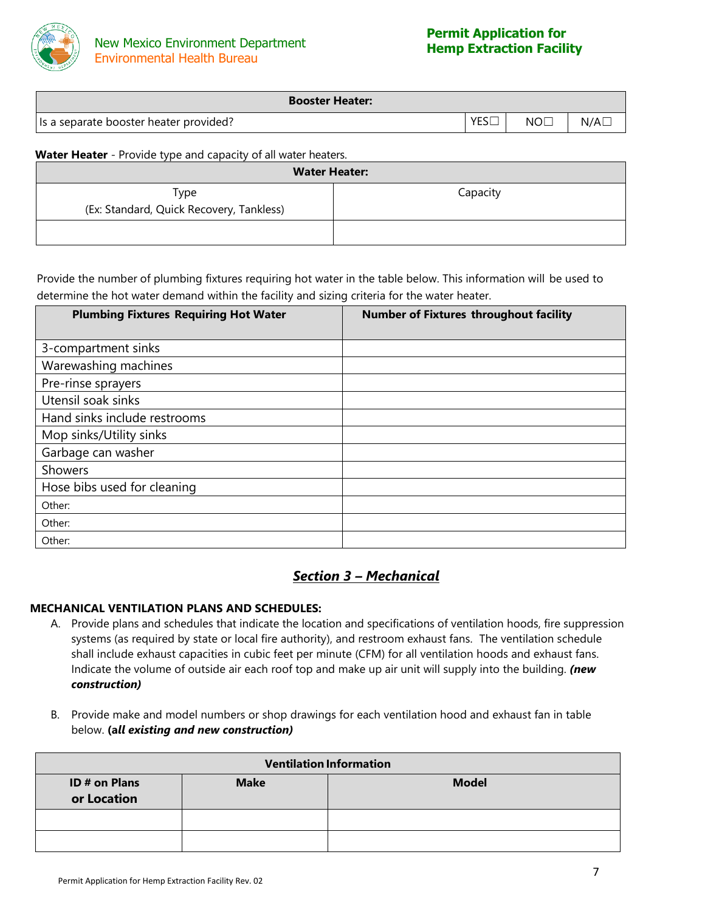

| <b>Booster Heater:</b>                 |     |     |     |
|----------------------------------------|-----|-----|-----|
| Is a separate booster heater provided? | YES | NOC | N/A |

**Water Heater** - Provide type and capacity of all water heaters.

| <b>Water Heater:</b>                             |          |
|--------------------------------------------------|----------|
| Type<br>(Ex: Standard, Quick Recovery, Tankless) | Capacity |
|                                                  |          |

Provide the number of plumbing fixtures requiring hot water in the table below. This information will be used to determine the hot water demand within the facility and sizing criteria for the water heater.

| <b>Plumbing Fixtures Requiring Hot Water</b> | <b>Number of Fixtures throughout facility</b> |
|----------------------------------------------|-----------------------------------------------|
| 3-compartment sinks                          |                                               |
| Warewashing machines                         |                                               |
| Pre-rinse sprayers                           |                                               |
| Utensil soak sinks                           |                                               |
| Hand sinks include restrooms                 |                                               |
| Mop sinks/Utility sinks                      |                                               |
| Garbage can washer                           |                                               |
| Showers                                      |                                               |
| Hose bibs used for cleaning                  |                                               |
| Other:                                       |                                               |
| Other:                                       |                                               |
| Other:                                       |                                               |

# *Section 3 – Mechanical*

#### **MECHANICAL VENTILATION PLANS AND SCHEDULES:**

- A. Provide plans and schedules that indicate the location and specifications of ventilation hoods, fire suppression systems (as required by state or local fire authority), and restroom exhaust fans. The ventilation schedule shall include exhaust capacities in cubic feet per minute (CFM) for all ventilation hoods and exhaust fans. Indicate the volume of outside air each roof top and make up air unit will supply into the building. *(new construction)*
- B. Provide make and model numbers or shop drawings for each ventilation hood and exhaust fan in table below. **(a***ll existing and new construction)*

|                              |             | <b>Ventilation Information</b> |
|------------------------------|-------------|--------------------------------|
| ID # on Plans<br>or Location | <b>Make</b> | <b>Model</b>                   |
|                              |             |                                |
|                              |             |                                |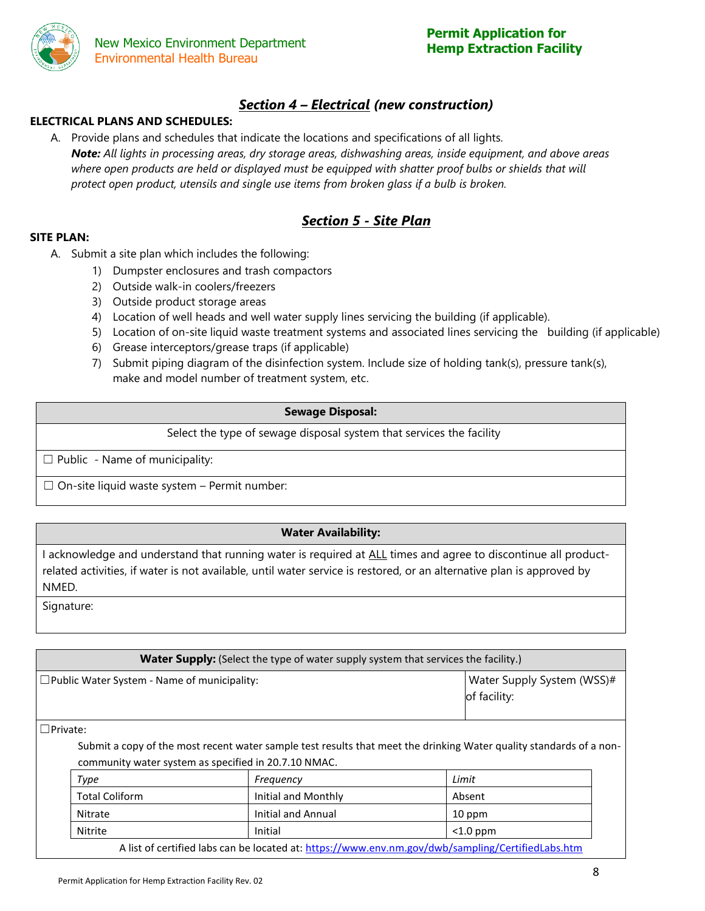

# *Section 4 – Electrical (new construction)*

# **ELECTRICAL PLANS AND SCHEDULES:**

A. Provide plans and schedules that indicate the locations and specifications of all lights. *Note: All lights in processing areas, dry storage areas, dishwashing areas, inside equipment, and above areas where open products are held or displayed must be equipped with shatter proof bulbs or shields that will protect open product, utensils and single use items from broken glass if a bulb is broken.*

# *Section 5 - Site Plan*

#### **SITE PLAN:**

- A. Submit a site plan which includes the following:
	- 1) Dumpster enclosures and trash compactors
	- 2) Outside walk-in coolers/freezers
	- 3) Outside product storage areas
	- 4) Location of well heads and well water supply lines servicing the building (if applicable).
	- 5) Location of on-site liquid waste treatment systems and associated lines servicing the building (if applicable)
	- 6) Grease interceptors/grease traps (if applicable)
	- 7) Submit piping diagram of the disinfection system. Include size of holding tank(s), pressure tank(s), make and model number of treatment system, etc.

#### **Sewage Disposal:**

Select the type of sewage disposal system that services the facility

 $\Box$  Public - Name of municipality:

 $\Box$  On-site liquid waste system – Permit number:

#### **Water Availability:**

I acknowledge and understand that running water is required at ALL times and agree to discontinue all productrelated activities, if water is not available, until water service is restored, or an alternative plan is approved by NMED.

Signature:

| <b>Water Supply:</b> (Select the type of water supply system that services the facility.) |                                            |
|-------------------------------------------------------------------------------------------|--------------------------------------------|
| $\square$ Public Water System - Name of municipality:                                     | Water Supply System (WSS)#<br>of facility: |

☐Private:

Submit a copy of the most recent water sample test results that meet the drinking Water quality standards of a noncommunity water system as specified in 20.7.10 NMAC.

| Type                                                                                                                                                                                                                              | Freguency           | Limit                                                                                                                             |
|-----------------------------------------------------------------------------------------------------------------------------------------------------------------------------------------------------------------------------------|---------------------|-----------------------------------------------------------------------------------------------------------------------------------|
| <b>Total Coliform</b>                                                                                                                                                                                                             | Initial and Monthly | Absent                                                                                                                            |
| Nitrate                                                                                                                                                                                                                           | Initial and Annual  | 10 ppm                                                                                                                            |
| Nitrite                                                                                                                                                                                                                           | Initial             | $<$ 1.0 ppm                                                                                                                       |
| $\mathbf{A}$ . The second contract of the second contract of the second contract of the second contract of the second contract of the second contract of the second contract of the second contract of the second contract of the |                     | $\mathbf{r}$ and $\mathbf{r}$ are the contract of $\mathbf{r}$ and $\mathbf{r}$ and $\mathbf{r}$ are the contract of $\mathbf{r}$ |

A list of certified labs can be located at:<https://www.env.nm.gov/dwb/sampling/CertifiedLabs.htm>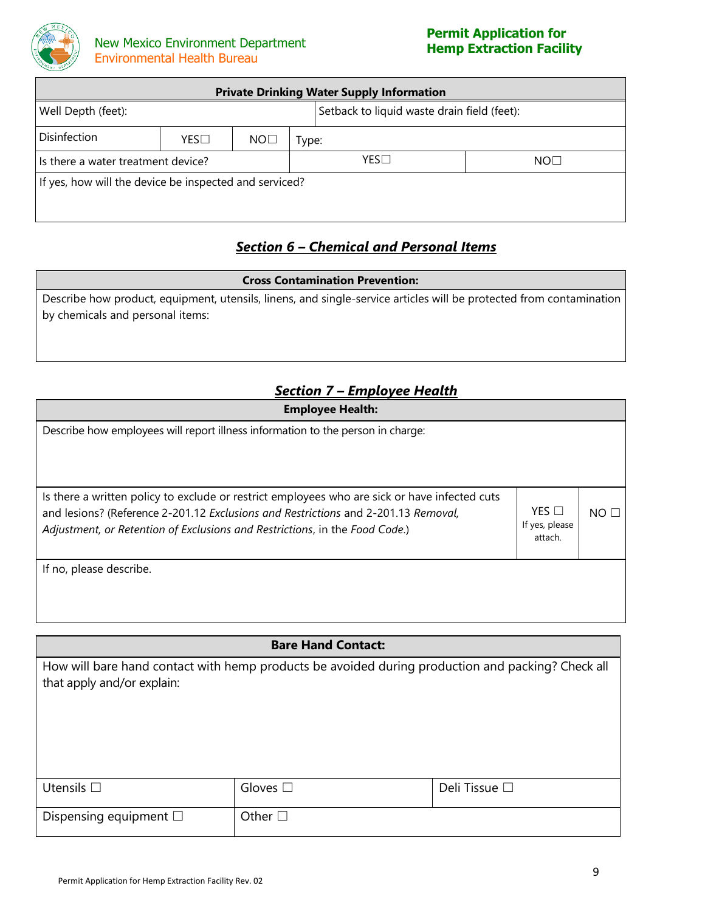

| <b>Private Drinking Water Supply Information</b>                  |     |                 |       |                 |  |
|-------------------------------------------------------------------|-----|-----------------|-------|-----------------|--|
| Setback to liquid waste drain field (feet):<br>Well Depth (feet): |     |                 |       |                 |  |
| Disinfection                                                      | YES | NO <sub>1</sub> | Type: |                 |  |
| Is there a water treatment device?                                |     |                 | YES   | NO <sub>1</sub> |  |
| If yes, how will the device be inspected and serviced?            |     |                 |       |                 |  |

# *Section 6 – Chemical and Personal Items*

#### **Cross Contamination Prevention:**

Describe how product, equipment, utensils, linens, and single-service articles will be protected from contamination by chemicals and personal items:

# *Section 7 – Employee Health*

| <b>Employee Health:</b>                                                                                                                                                                                                                                            |                                              |                 |
|--------------------------------------------------------------------------------------------------------------------------------------------------------------------------------------------------------------------------------------------------------------------|----------------------------------------------|-----------------|
| Describe how employees will report illness information to the person in charge:                                                                                                                                                                                    |                                              |                 |
| Is there a written policy to exclude or restrict employees who are sick or have infected cuts<br>and lesions? (Reference 2-201.12 Exclusions and Restrictions and 2-201.13 Removal,<br>Adjustment, or Retention of Exclusions and Restrictions, in the Food Code.) | $YES$ $\square$<br>If yes, please<br>attach. | NO <sub>1</sub> |
| If no, please describe.                                                                                                                                                                                                                                            |                                              |                 |

# **Bare Hand Contact:**

How will bare hand contact with hemp products be avoided during production and packing? Check all that apply and/or explain:

| Utensils $\square$             | Gloves $\square$          | Deli Tissue $\Box$ |
|--------------------------------|---------------------------|--------------------|
| Dispensing equipment $\square$ | $\mathsf{Other}\ \square$ |                    |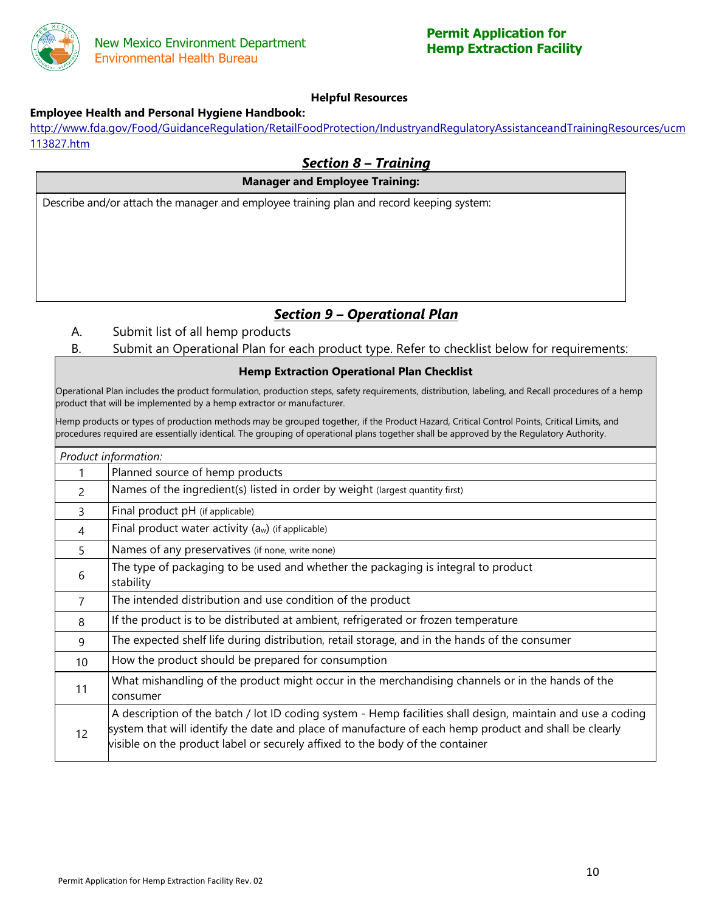

#### **Helpful Resources**

#### **Employee Health and Personal Hygiene Handbook:**

[http://www.fda.gov/Food/GuidanceRegulation/RetailFoodProtection/IndustryandRegulatoryAssistanceandTrainingResources/ucm](http://www.fda.gov/Food/GuidanceRegulation/RetailFoodProtection/IndustryandRegulatoryAssistanceandTrainingResources/ucm113827.htm) [113827.htm](http://www.fda.gov/Food/GuidanceRegulation/RetailFoodProtection/IndustryandRegulatoryAssistanceandTrainingResources/ucm113827.htm)

# *Section 8 – Training* **Manager and Employee Training:** Describe and/or attach the manager and employee training plan and record keeping system:

# *Section 9 – Operational Plan*

- A. Submit list of all hemp products
- B. Submit an Operational Plan for each product type. Refer to checklist below for requirements:

#### **Hemp Extraction Operational Plan Checklist**

Operational Plan includes the product formulation, production steps, safety requirements, distribution, labeling, and Recall procedures of a hemp product that will be implemented by a hemp extractor or manufacturer.

Hemp products or types of production methods may be grouped together, if the Product Hazard, Critical Control Points, Critical Limits, and procedures required are essentially identical. The grouping of operational plans together shall be approved by the Regulatory Authority.

|                | Product information:                                                                                                                                                                                                                                                                                  |
|----------------|-------------------------------------------------------------------------------------------------------------------------------------------------------------------------------------------------------------------------------------------------------------------------------------------------------|
|                | Planned source of hemp products                                                                                                                                                                                                                                                                       |
| $\mathcal{P}$  | Names of the ingredient(s) listed in order by weight (largest quantity first)                                                                                                                                                                                                                         |
| 3              | Final product pH (if applicable)                                                                                                                                                                                                                                                                      |
| 4              | Final product water activity $(a_w)$ (if applicable)                                                                                                                                                                                                                                                  |
| 5              | Names of any preservatives (if none, write none)                                                                                                                                                                                                                                                      |
| 6              | The type of packaging to be used and whether the packaging is integral to product<br>stability                                                                                                                                                                                                        |
| $\overline{7}$ | The intended distribution and use condition of the product                                                                                                                                                                                                                                            |
| 8              | If the product is to be distributed at ambient, refrigerated or frozen temperature                                                                                                                                                                                                                    |
| 9              | The expected shelf life during distribution, retail storage, and in the hands of the consumer                                                                                                                                                                                                         |
| 10             | How the product should be prepared for consumption                                                                                                                                                                                                                                                    |
| 11             | What mishandling of the product might occur in the merchandising channels or in the hands of the<br>consumer                                                                                                                                                                                          |
| 12             | A description of the batch / lot ID coding system - Hemp facilities shall design, maintain and use a coding<br>system that will identify the date and place of manufacture of each hemp product and shall be clearly<br>visible on the product label or securely affixed to the body of the container |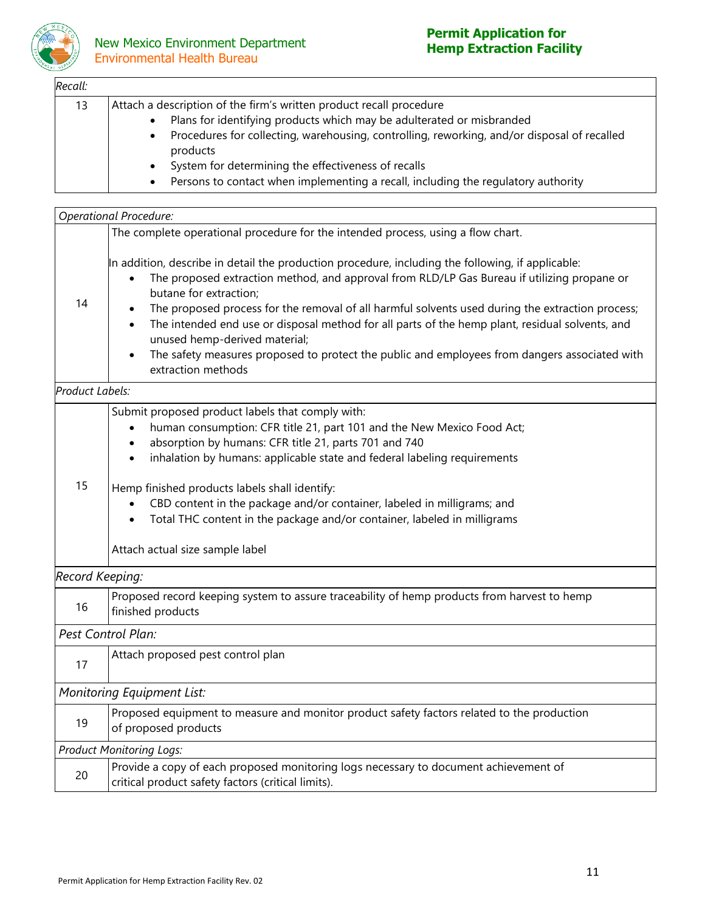

# **New Mexico Environment Department** Environmental Health Bureau

# **Permit Application for**

| Recall: |                                                                                                                                                                                                                                                                                                                                                                                                                                                         |  |  |  |
|---------|---------------------------------------------------------------------------------------------------------------------------------------------------------------------------------------------------------------------------------------------------------------------------------------------------------------------------------------------------------------------------------------------------------------------------------------------------------|--|--|--|
| 13      | Attach a description of the firm's written product recall procedure<br>Plans for identifying products which may be adulterated or misbranded<br>$\bullet$<br>Procedures for collecting, warehousing, controlling, reworking, and/or disposal of recalled<br>$\bullet$<br>products<br>System for determining the effectiveness of recalls<br>$\bullet$<br>Persons to contact when implementing a recall, including the regulatory authority<br>$\bullet$ |  |  |  |
|         | <b>Operational Procedure:</b>                                                                                                                                                                                                                                                                                                                                                                                                                           |  |  |  |
|         | The complete operational procedure for the intended process, using a flow chart.                                                                                                                                                                                                                                                                                                                                                                        |  |  |  |
| 14      | In addition, describe in detail the production procedure, including the following, if applicable:<br>The proposed extraction method, and approval from RLD/LP Gas Bureau if utilizing propane or<br>$\bullet$<br>butane for extraction;<br>The proposed process for the removal of all harmful solvents used during the extraction process;                                                                                                             |  |  |  |

- The intended end use or disposal method for all parts of the hemp plant, residual solvents, and unused hemp-derived material;
- The safety measures proposed to protect the public and employees from dangers associated with extraction methods

#### *Product Labels:*

| 15                              | Submit proposed product labels that comply with:<br>human consumption: CFR title 21, part 101 and the New Mexico Food Act;<br>absorption by humans: CFR title 21, parts 701 and 740<br>inhalation by humans: applicable state and federal labeling requirements<br>Hemp finished products labels shall identify:<br>CBD content in the package and/or container, labeled in milligrams; and<br>Total THC content in the package and/or container, labeled in milligrams |  |  |  |  |
|---------------------------------|-------------------------------------------------------------------------------------------------------------------------------------------------------------------------------------------------------------------------------------------------------------------------------------------------------------------------------------------------------------------------------------------------------------------------------------------------------------------------|--|--|--|--|
|                                 | Attach actual size sample label                                                                                                                                                                                                                                                                                                                                                                                                                                         |  |  |  |  |
| Record Keeping:                 |                                                                                                                                                                                                                                                                                                                                                                                                                                                                         |  |  |  |  |
| 16                              | Proposed record keeping system to assure traceability of hemp products from harvest to hemp<br>finished products                                                                                                                                                                                                                                                                                                                                                        |  |  |  |  |
| Pest Control Plan:              |                                                                                                                                                                                                                                                                                                                                                                                                                                                                         |  |  |  |  |
| 17                              | Attach proposed pest control plan                                                                                                                                                                                                                                                                                                                                                                                                                                       |  |  |  |  |
| Monitoring Equipment List:      |                                                                                                                                                                                                                                                                                                                                                                                                                                                                         |  |  |  |  |
| 19                              | Proposed equipment to measure and monitor product safety factors related to the production<br>of proposed products                                                                                                                                                                                                                                                                                                                                                      |  |  |  |  |
| <b>Product Monitoring Logs:</b> |                                                                                                                                                                                                                                                                                                                                                                                                                                                                         |  |  |  |  |
| 20                              | Provide a copy of each proposed monitoring logs necessary to document achievement of<br>critical product safety factors (critical limits).                                                                                                                                                                                                                                                                                                                              |  |  |  |  |
|                                 |                                                                                                                                                                                                                                                                                                                                                                                                                                                                         |  |  |  |  |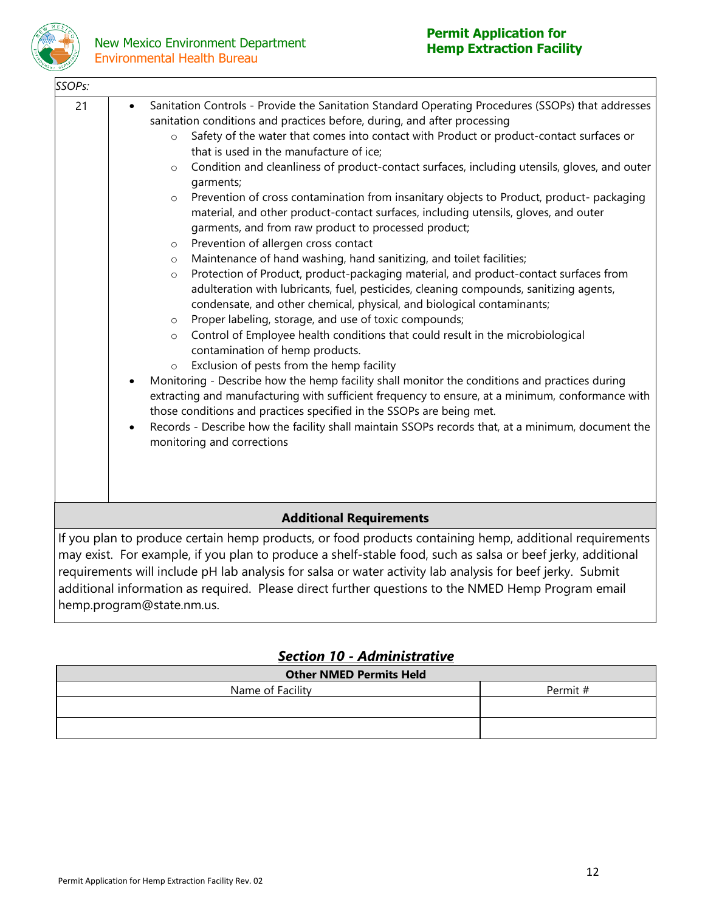

| SSOPs:                         |                                                                                                                                                                                                                                                                                                                                                                                                                                                                                                                                                                                                                                                                                                                                                                                                                                                                                                                                                                                                                                                                                                                                                                                                                                                                                                                                                                                                                                                                                                                                                                                                                                                                                                                                                                                                                                        |  |  |  |  |
|--------------------------------|----------------------------------------------------------------------------------------------------------------------------------------------------------------------------------------------------------------------------------------------------------------------------------------------------------------------------------------------------------------------------------------------------------------------------------------------------------------------------------------------------------------------------------------------------------------------------------------------------------------------------------------------------------------------------------------------------------------------------------------------------------------------------------------------------------------------------------------------------------------------------------------------------------------------------------------------------------------------------------------------------------------------------------------------------------------------------------------------------------------------------------------------------------------------------------------------------------------------------------------------------------------------------------------------------------------------------------------------------------------------------------------------------------------------------------------------------------------------------------------------------------------------------------------------------------------------------------------------------------------------------------------------------------------------------------------------------------------------------------------------------------------------------------------------------------------------------------------|--|--|--|--|
| 21                             | Sanitation Controls - Provide the Sanitation Standard Operating Procedures (SSOPs) that addresses<br>$\bullet$<br>sanitation conditions and practices before, during, and after processing<br>Safety of the water that comes into contact with Product or product-contact surfaces or<br>$\circ$<br>that is used in the manufacture of ice;<br>Condition and cleanliness of product-contact surfaces, including utensils, gloves, and outer<br>$\circ$<br>garments;<br>Prevention of cross contamination from insanitary objects to Product, product- packaging<br>$\circ$<br>material, and other product-contact surfaces, including utensils, gloves, and outer<br>garments, and from raw product to processed product;<br>Prevention of allergen cross contact<br>$\circ$<br>Maintenance of hand washing, hand sanitizing, and toilet facilities;<br>$\circ$<br>Protection of Product, product-packaging material, and product-contact surfaces from<br>$\circ$<br>adulteration with lubricants, fuel, pesticides, cleaning compounds, sanitizing agents,<br>condensate, and other chemical, physical, and biological contaminants;<br>Proper labeling, storage, and use of toxic compounds;<br>O<br>Control of Employee health conditions that could result in the microbiological<br>$\circ$<br>contamination of hemp products.<br>Exclusion of pests from the hemp facility<br>$\circ$<br>Monitoring - Describe how the hemp facility shall monitor the conditions and practices during<br>$\bullet$<br>extracting and manufacturing with sufficient frequency to ensure, at a minimum, conformance with<br>those conditions and practices specified in the SSOPs are being met.<br>Records - Describe how the facility shall maintain SSOPs records that, at a minimum, document the<br>$\bullet$<br>monitoring and corrections |  |  |  |  |
| <b>Additional Requirements</b> |                                                                                                                                                                                                                                                                                                                                                                                                                                                                                                                                                                                                                                                                                                                                                                                                                                                                                                                                                                                                                                                                                                                                                                                                                                                                                                                                                                                                                                                                                                                                                                                                                                                                                                                                                                                                                                        |  |  |  |  |
|                                | If you plan to produce certain hemp products, or food products containing hemp, additional requirements<br>may exist. For example, if you plan to produce a shelf-stable food, such as salsa or beef jerky, additional<br>requirements will include pH lab analysis for salsa or water activity lab analysis for beef jerky. Submit<br>additional information as required. Please direct further questions to the NMED Hemp Program email                                                                                                                                                                                                                                                                                                                                                                                                                                                                                                                                                                                                                                                                                                                                                                                                                                                                                                                                                                                                                                                                                                                                                                                                                                                                                                                                                                                              |  |  |  |  |

# *Section 10 - Administrative*

| <b>Other NMED Permits Held</b> |          |  |  |  |  |
|--------------------------------|----------|--|--|--|--|
| Name of Facility               | Permit # |  |  |  |  |
|                                |          |  |  |  |  |
|                                |          |  |  |  |  |
|                                |          |  |  |  |  |

hemp.program@state.nm.us.